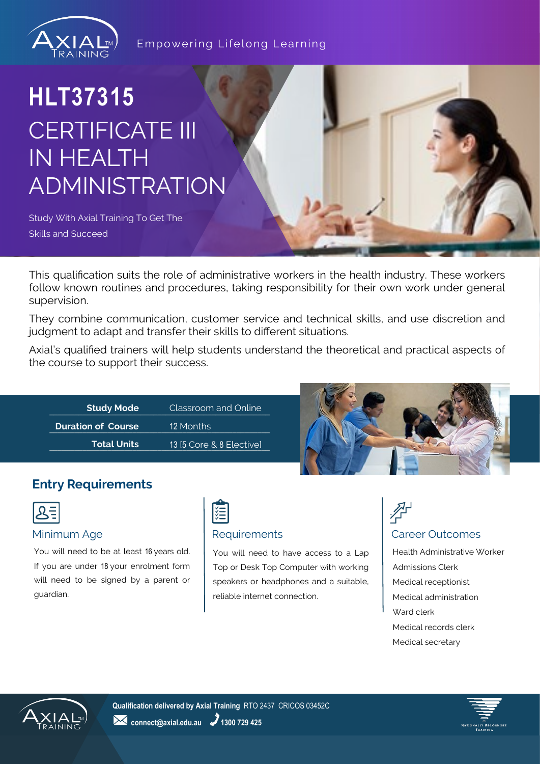

### Empowering Lifelong Learning

# **HLT37315** CERTIFICATE III IN HEALTH ADMINISTRATION

Study With Axial Training To Get The Skills and Succeed

This qualification suits the role of administrative workers in the health industry. These workers follow known routines and procedures, taking responsibility for their own work under general supervision.

They combine communication, customer service and technical skills, and use discretion and judgment to adapt and transfer their skills to different situations.

Axial's qualified trainers will help students understand the theoretical and practical aspects of the course to support their success.

| <b>Study Mode</b>         | Classroom and Online     |  |
|---------------------------|--------------------------|--|
| <b>Duration of Course</b> | 12 Months                |  |
| <b>Total Units</b>        | 13 [5 Core & 8 Elective] |  |



## **Entry Requirements**

|--|

#### Minimum Age **Requirements Requirements Requirements Requirements Requirements Requirements**

You will need to be at least 16 years old. If you are under 18 your enrolment form will need to be signed by a parent or guardian.



You will need to have access to a Lap Top or Desk Top Computer with working speakers or headphones and a suitable, reliable internet connection.



Health Administrative Worker Admissions Clerk Medical receptionist Medical administration Ward clerk Medical records clerk Medical secretary